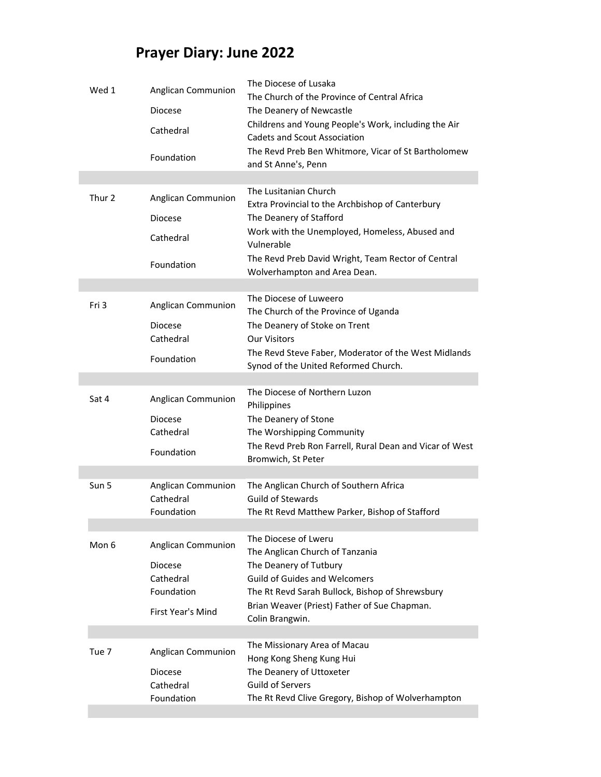## Prayer Diary: June 2022

| Wed 1            | Anglican Communion<br>Diocese<br>Cathedral<br>Foundation                                    | The Diocese of Lusaka<br>The Church of the Province of Central Africa<br>The Deanery of Newcastle<br>Childrens and Young People's Work, including the Air<br><b>Cadets and Scout Association</b><br>The Revd Preb Ben Whitmore, Vicar of St Bartholomew<br>and St Anne's, Penn |
|------------------|---------------------------------------------------------------------------------------------|--------------------------------------------------------------------------------------------------------------------------------------------------------------------------------------------------------------------------------------------------------------------------------|
| Thur 2           | Anglican Communion<br><b>Diocese</b><br>Cathedral<br>Foundation                             | The Lusitanian Church<br>Extra Provincial to the Archbishop of Canterbury<br>The Deanery of Stafford<br>Work with the Unemployed, Homeless, Abused and<br>Vulnerable<br>The Revd Preb David Wright, Team Rector of Central<br>Wolverhampton and Area Dean.                     |
| Fri 3            | Anglican Communion<br><b>Diocese</b><br>Cathedral<br>Foundation                             | The Diocese of Luweero<br>The Church of the Province of Uganda<br>The Deanery of Stoke on Trent<br><b>Our Visitors</b><br>The Revd Steve Faber, Moderator of the West Midlands<br>Synod of the United Reformed Church.                                                         |
| Sat 4            | Anglican Communion<br>Diocese<br>Cathedral<br>Foundation                                    | The Diocese of Northern Luzon<br>Philippines<br>The Deanery of Stone<br>The Worshipping Community<br>The Revd Preb Ron Farrell, Rural Dean and Vicar of West<br>Bromwich, St Peter                                                                                             |
| Sun 5            | Anglican Communion<br>Cathedral<br>Foundation                                               | The Anglican Church of Southern Africa<br><b>Guild of Stewards</b><br>The Rt Revd Matthew Parker, Bishop of Stafford                                                                                                                                                           |
| Mon 6            | Anglican Communion<br><b>Diocese</b><br>Cathedral<br>Foundation<br><b>First Year's Mind</b> | The Diocese of Lweru<br>The Anglican Church of Tanzania<br>The Deanery of Tutbury<br><b>Guild of Guides and Welcomers</b><br>The Rt Revd Sarah Bullock, Bishop of Shrewsbury<br>Brian Weaver (Priest) Father of Sue Chapman.<br>Colin Brangwin.                                |
| Tue <sub>7</sub> | Anglican Communion<br><b>Diocese</b><br>Cathedral<br>Foundation                             | The Missionary Area of Macau<br>Hong Kong Sheng Kung Hui<br>The Deanery of Uttoxeter<br><b>Guild of Servers</b><br>The Rt Revd Clive Gregory, Bishop of Wolverhampton                                                                                                          |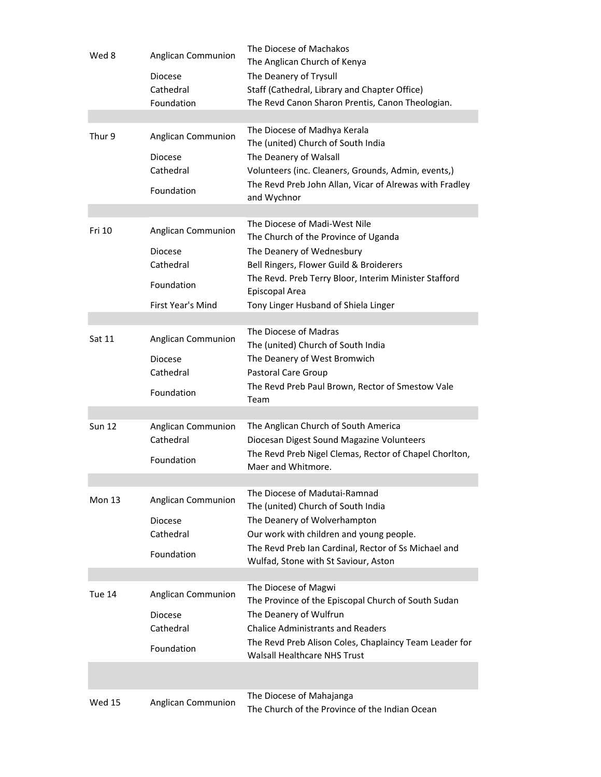| Wed 8         | Anglican Communion<br><b>Diocese</b><br>Cathedral<br>Foundation                             | The Diocese of Machakos<br>The Anglican Church of Kenya<br>The Deanery of Trysull<br>Staff (Cathedral, Library and Chapter Office)<br>The Revd Canon Sharon Prentis, Canon Theologian.                                                                           |
|---------------|---------------------------------------------------------------------------------------------|------------------------------------------------------------------------------------------------------------------------------------------------------------------------------------------------------------------------------------------------------------------|
|               |                                                                                             |                                                                                                                                                                                                                                                                  |
| Thur 9        | Anglican Communion<br><b>Diocese</b><br>Cathedral<br>Foundation                             | The Diocese of Madhya Kerala<br>The (united) Church of South India<br>The Deanery of Walsall<br>Volunteers (inc. Cleaners, Grounds, Admin, events,)<br>The Revd Preb John Allan, Vicar of Alrewas with Fradley<br>and Wychnor                                    |
| Fri 10        | Anglican Communion<br><b>Diocese</b><br>Cathedral<br>Foundation<br><b>First Year's Mind</b> | The Diocese of Madi-West Nile<br>The Church of the Province of Uganda<br>The Deanery of Wednesbury<br>Bell Ringers, Flower Guild & Broiderers<br>The Revd. Preb Terry Bloor, Interim Minister Stafford<br>Episcopal Area<br>Tony Linger Husband of Shiela Linger |
| Sat 11        | Anglican Communion<br><b>Diocese</b><br>Cathedral<br>Foundation                             | The Diocese of Madras<br>The (united) Church of South India<br>The Deanery of West Bromwich<br>Pastoral Care Group<br>The Revd Preb Paul Brown, Rector of Smestow Vale<br>Team                                                                                   |
| <b>Sun 12</b> | Anglican Communion<br>Cathedral<br>Foundation                                               | The Anglican Church of South America<br>Diocesan Digest Sound Magazine Volunteers<br>The Revd Preb Nigel Clemas, Rector of Chapel Chorlton,<br>Maer and Whitmore.                                                                                                |
| <b>Mon 13</b> | Anglican Communion<br><b>Diocese</b><br>Cathedral<br>Foundation                             | The Diocese of Madutai-Ramnad<br>The (united) Church of South India<br>The Deanery of Wolverhampton<br>Our work with children and young people.<br>The Revd Preb Ian Cardinal, Rector of Ss Michael and<br>Wulfad, Stone with St Saviour, Aston                  |
| Tue 14        | <b>Anglican Communion</b><br><b>Diocese</b><br>Cathedral<br>Foundation                      | The Diocese of Magwi<br>The Province of the Episcopal Church of South Sudan<br>The Deanery of Wulfrun<br><b>Chalice Administrants and Readers</b><br>The Revd Preb Alison Coles, Chaplaincy Team Leader for<br><b>Walsall Healthcare NHS Trust</b>               |
|               |                                                                                             |                                                                                                                                                                                                                                                                  |
| <b>Wed 15</b> | Anglican Communion                                                                          | The Diocese of Mahajanga<br>The Church of the Province of the Indian Ocean                                                                                                                                                                                       |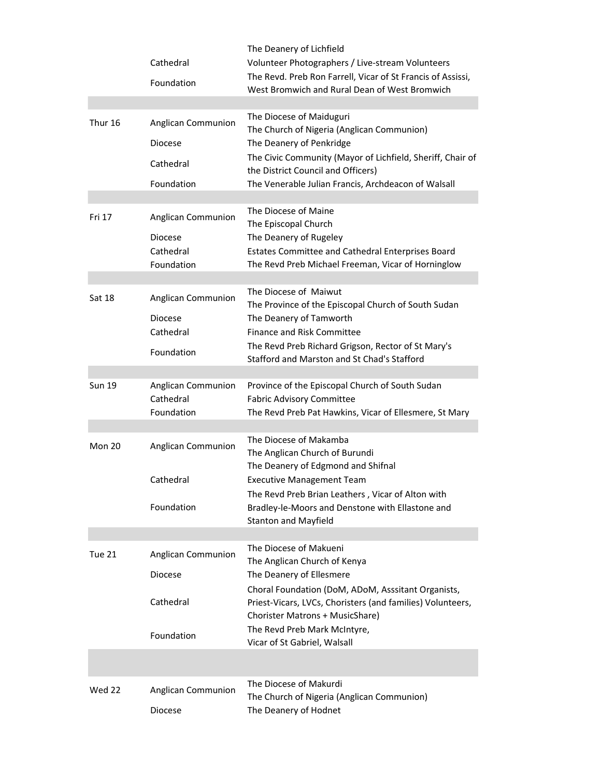|               | Cathedral<br>Foundation                                         | The Deanery of Lichfield<br>Volunteer Photographers / Live-stream Volunteers<br>The Revd. Preb Ron Farrell, Vicar of St Francis of Assissi,<br>West Bromwich and Rural Dean of West Bromwich                                                                                                              |
|---------------|-----------------------------------------------------------------|-----------------------------------------------------------------------------------------------------------------------------------------------------------------------------------------------------------------------------------------------------------------------------------------------------------|
| Thur 16       | Anglican Communion<br><b>Diocese</b><br>Cathedral<br>Foundation | The Diocese of Maiduguri<br>The Church of Nigeria (Anglican Communion)<br>The Deanery of Penkridge<br>The Civic Community (Mayor of Lichfield, Sheriff, Chair of<br>the District Council and Officers)<br>The Venerable Julian Francis, Archdeacon of Walsall                                             |
| Fri 17        | Anglican Communion<br>Diocese<br>Cathedral<br>Foundation        | The Diocese of Maine<br>The Episcopal Church<br>The Deanery of Rugeley<br>Estates Committee and Cathedral Enterprises Board<br>The Revd Preb Michael Freeman, Vicar of Horninglow                                                                                                                         |
| <b>Sat 18</b> | Anglican Communion<br><b>Diocese</b><br>Cathedral<br>Foundation | The Diocese of Maiwut<br>The Province of the Episcopal Church of South Sudan<br>The Deanery of Tamworth<br>Finance and Risk Committee<br>The Revd Preb Richard Grigson, Rector of St Mary's<br>Stafford and Marston and St Chad's Stafford                                                                |
| <b>Sun 19</b> | Anglican Communion<br>Cathedral<br>Foundation                   | Province of the Episcopal Church of South Sudan<br><b>Fabric Advisory Committee</b><br>The Revd Preb Pat Hawkins, Vicar of Ellesmere, St Mary                                                                                                                                                             |
| Mon 20        | Anglican Communion<br>Cathedral<br>Foundation                   | The Diocese of Makamba<br>The Anglican Church of Burundi<br>The Deanery of Edgmond and Shifnal<br><b>Executive Management Team</b><br>The Revd Preb Brian Leathers, Vicar of Alton with<br>Bradley-le-Moors and Denstone with Ellastone and<br><b>Stanton and Mayfield</b>                                |
| Tue 21        | Anglican Communion<br><b>Diocese</b><br>Cathedral<br>Foundation | The Diocese of Makueni<br>The Anglican Church of Kenya<br>The Deanery of Ellesmere<br>Choral Foundation (DoM, ADoM, Asssitant Organists,<br>Priest-Vicars, LVCs, Choristers (and families) Volunteers,<br>Chorister Matrons + MusicShare)<br>The Revd Preb Mark McIntyre,<br>Vicar of St Gabriel, Walsall |
| Wed 22        | Anglican Communion<br><b>Diocese</b>                            | The Diocese of Makurdi<br>The Church of Nigeria (Anglican Communion)<br>The Deanery of Hodnet                                                                                                                                                                                                             |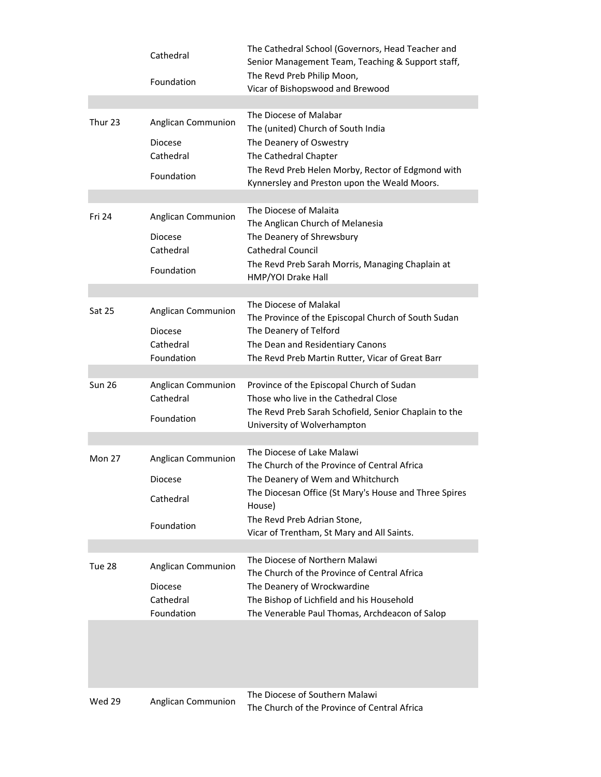|               | Cathedral<br>Foundation                                                | The Cathedral School (Governors, Head Teacher and<br>Senior Management Team, Teaching & Support staff,<br>The Revd Preb Philip Moon,<br>Vicar of Bishopswood and Brewood                                                                                        |
|---------------|------------------------------------------------------------------------|-----------------------------------------------------------------------------------------------------------------------------------------------------------------------------------------------------------------------------------------------------------------|
|               |                                                                        |                                                                                                                                                                                                                                                                 |
| Thur 23       | Anglican Communion<br><b>Diocese</b><br>Cathedral<br>Foundation        | The Diocese of Malabar<br>The (united) Church of South India<br>The Deanery of Oswestry<br>The Cathedral Chapter<br>The Revd Preb Helen Morby, Rector of Edgmond with<br>Kynnersley and Preston upon the Weald Moors.                                           |
| Fri 24        | Anglican Communion<br><b>Diocese</b><br>Cathedral<br>Foundation        | The Diocese of Malaita<br>The Anglican Church of Melanesia<br>The Deanery of Shrewsbury<br>Cathedral Council<br>The Revd Preb Sarah Morris, Managing Chaplain at<br>HMP/YOI Drake Hall                                                                          |
| <b>Sat 25</b> | Anglican Communion<br><b>Diocese</b><br>Cathedral<br>Foundation        | The Diocese of Malakal<br>The Province of the Episcopal Church of South Sudan<br>The Deanery of Telford<br>The Dean and Residentiary Canons<br>The Revd Preb Martin Rutter, Vicar of Great Barr                                                                 |
| <b>Sun 26</b> | Anglican Communion<br>Cathedral<br>Foundation                          | Province of the Episcopal Church of Sudan<br>Those who live in the Cathedral Close<br>The Revd Preb Sarah Schofield, Senior Chaplain to the<br>University of Wolverhampton                                                                                      |
| Mon 27        | Anglican Communion<br><b>Diocese</b><br>Cathedral<br>Foundation        | The Diocese of Lake Malawi<br>The Church of the Province of Central Africa<br>The Deanery of Wem and Whitchurch<br>The Diocesan Office (St Mary's House and Three Spires<br>House)<br>The Revd Preb Adrian Stone,<br>Vicar of Trentham, St Mary and All Saints. |
| Tue 28        | <b>Anglican Communion</b><br><b>Diocese</b><br>Cathedral<br>Foundation | The Diocese of Northern Malawi<br>The Church of the Province of Central Africa<br>The Deanery of Wrockwardine<br>The Bishop of Lichfield and his Household<br>The Venerable Paul Thomas, Archdeacon of Salop                                                    |